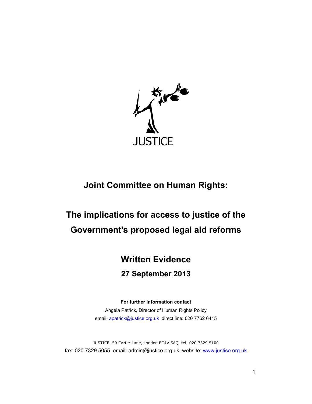

## **Joint Committee on Human Rights:**

# **The implications for access to justice of the Government's proposed legal aid reforms**

## **Written Evidence**

### **27 September 2013**

**For further information contact** Angela Patrick, Director of Human Rights Policy email: apatrick@justice.org.uk direct line: 020 7762 6415

JUSTICE, 59 Carter Lane, London EC4V 5AQ tel: 020 7329 5100 fax: 020 7329 5055 email: admin@justice.org.uk website: www.justice.org.uk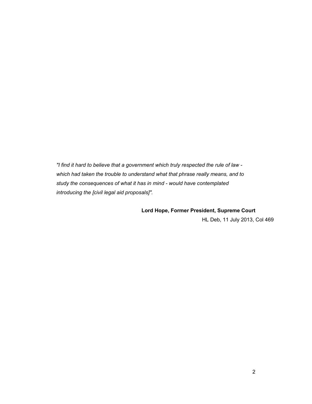*"I find it hard to believe that a government which truly respected the rule of law which had taken the trouble to understand what that phrase really means, and to study the consequences of what it has in mind - would have contemplated introducing the [civil legal aid proposals]".* 

**Lord Hope, Former President, Supreme Court** 

HL Deb, 11 July 2013, Col 469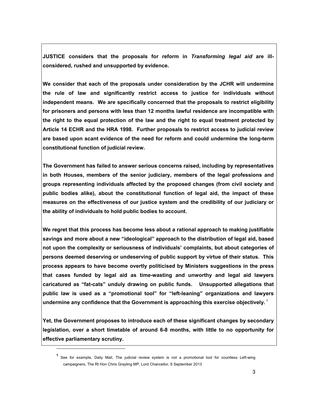**JUSTICE considers that the proposals for reform in** *Transforming legal aid* **are illconsidered, rushed and unsupported by evidence.** 

**We consider that each of the proposals under consideration by the JCHR will undermine the rule of law and significantly restrict access to justice for individuals without independent means. We are specifically concerned that the proposals to restrict eligibility for prisoners and persons with less than 12 months lawful residence are incompatible with the right to the equal protection of the law and the right to equal treatment protected by Article 14 ECHR and the HRA 1998. Further proposals to restrict access to judicial review are based upon scant evidence of the need for reform and could undermine the long-term constitutional function of judicial review.** 

**The Government has failed to answer serious concerns raised, including by representatives in both Houses, members of the senior judiciary, members of the legal professions and groups representing individuals affected by the proposed changes (from civil society and public bodies alike), about the constitutional function of legal aid, the impact of these measures on the effectiveness of our justice system and the credibility of our judiciary or the ability of individuals to hold public bodies to account.** 

**We regret that this process has become less about a rational approach to making justifiable savings and more about a new "ideological" approach to the distribution of legal aid, based not upon the complexity or seriousness of individuals' complaints, but about categories of persons deemed deserving or undeserving of public support by virtue of their status. This process appears to have become overtly politicised by Ministers suggestions in the press that cases funded by legal aid as time-wasting and unworthy and legal aid lawyers caricatured as "fat-cats" unduly drawing on public funds. Unsupported allegations that public law is used as a "promotional tool" for "left-leaning" organizations and lawyers undermine any confidence that the Government is approaching this exercise objectively.**<sup>1</sup>

**Yet, the Government proposes to introduce each of these significant changes by secondary legislation, over a short timetable of around 6-8 months, with little to no opportunity for effective parliamentary scrutiny.** 

**<sup>1</sup>** See for example, Daily Mail, The judicial review system is not a promotional tool for countless Left-wing campaigners, The Rt Hon Chris Grayling MP, Lord Chancellor, 6 September 2013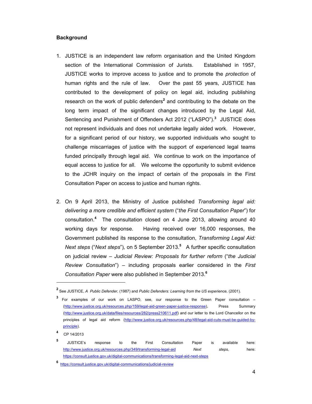#### **Background**

- 1. JUSTICE is an independent law reform organisation and the United Kingdom section of the International Commission of Jurists. Established in 1957, JUSTICE works to improve access to justice and to promote the *protection* of human rights and the rule of law. Over the past 55 years, JUSTICE has contributed to the development of policy on legal aid, including publishing research on the work of public defenders<sup>2</sup> and contributing to the debate on the long term impact of the significant changes introduced by the Legal Aid, Sentencing and Punishment of Offenders Act 2012 ("LASPO").**<sup>3</sup>** JUSTICE does not represent individuals and does not undertake legally aided work. However, for a significant period of our history, we supported individuals who sought to challenge miscarriages of justice with the support of experienced legal teams funded principally through legal aid. We continue to work on the importance of equal access to justice for all. We welcome the opportunity to submit evidence to the JCHR inquiry on the impact of certain of the proposals in the First Consultation Paper on access to justice and human rights.
- 2. On 9 April 2013, the Ministry of Justice published *Transforming legal aid: delivering a more credible and efficient system* ("*the First Consultation Paper*") for consultation.**<sup>4</sup>** The consultation closed on 4 June 2013, allowing around 40 working days for response. Having received over 16,000 responses, the Government published its response to the consultation, *Transforming Legal Aid: Next steps* ("*Next steps*")*,* on 5 September 2013.**<sup>5</sup>** A further specific consultation on judicial review – *Judicial Review: Proposals for further reform* ("*the Judicial Review Consultation*") – including proposals earlier considered in the *First Consultation Paper* were also published in September 2013.**<sup>6</sup>**

**<sup>2</sup>** See JUSTICE, *A Public Defender,* (1987) and *Public Defenders: Learning from the US experience,* (2001).

**<sup>3</sup>** For examples of our work on LASPO, see, our response to the Green Paper consultation – (http://www.justice.org.uk/resources.php/159/legal-aid-green-paper-justice-response), Press Summary (http://www.justice.org.uk/data/files/resources/282/press210611.pdf) and our letter to the Lord Chancellor on the principles of legal aid reform (http://www.justice.org.uk/resources.php/48/legal-aid-cuts-must-be-guided-byprinciple).

**<sup>4</sup>** CP 14/2013

**<sup>5</sup>** JUSTICE's response to the First Consultation Paper is available here: http://www.justice.org.uk/resources.php/349/transforming-legal-aid *Next steps,* here: https://consult.justice.gov.uk/digital-communications/transforming-legal-aid-next-steps

**<sup>6</sup>** https://consult.justice.gov.uk/digital-communications/judicial-review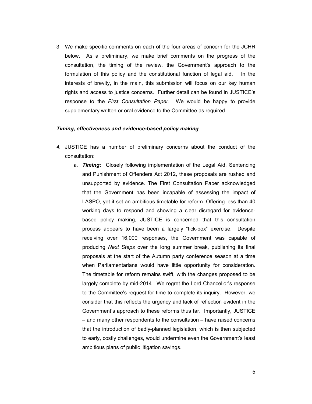3. We make specific comments on each of the four areas of concern for the JCHR below. As a preliminary, we make brief comments on the progress of the consultation, the timing of the review, the Government's approach to the formulation of this policy and the constitutional function of legal aid. In the interests of brevity, in the main, this submission will focus on our key human rights and access to justice concerns. Further detail can be found in JUSTICE's response to the *First Consultation Paper*. We would be happy to provide supplementary written or oral evidence to the Committee as required.

#### *Timing, effectiveness and evidence-based policy making*

- *4.* JUSTICE has a number of preliminary concerns about the conduct of the consultation:
	- a. *Timing:* Closely following implementation of the Legal Aid, Sentencing and Punishment of Offenders Act 2012, these proposals are rushed and unsupported by evidence. The First Consultation Paper acknowledged that the Government has been incapable of assessing the impact of LASPO, yet it set an ambitious timetable for reform. Offering less than 40 working days to respond and showing a clear disregard for evidencebased policy making, JUSTICE is concerned that this consultation process appears to have been a largely "tick-box" exercise. Despite receiving over 16,000 responses, the Government was capable of producing *Next Steps* over the long summer break, publishing its final proposals at the start of the Autumn party conference season at a time when Parliamentarians would have little opportunity for consideration. The timetable for reform remains swift, with the changes proposed to be largely complete by mid-2014. We regret the Lord Chancellor's response to the Committee's request for time to complete its inquiry. However, we consider that this reflects the urgency and lack of reflection evident in the Government's approach to these reforms thus far. Importantly, JUSTICE – and many other respondents to the consultation – have raised concerns that the introduction of badly-planned legislation, which is then subjected to early, costly challenges, would undermine even the Government's least ambitious plans of public litigation savings.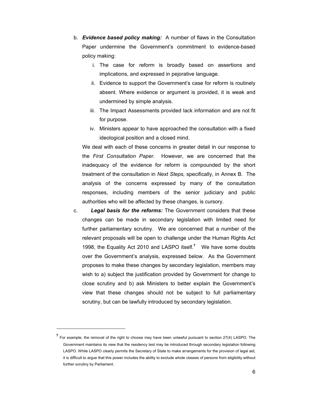- b. *Evidence based policy making:* A number of flaws in the Consultation Paper undermine the Government's commitment to evidence-based policy making:
	- i. The case for reform is broadly based on assertions and implications, and expressed in pejorative language.
	- ii. Evidence to support the Government's case for reform is routinely absent. Where evidence or argument is provided, it is weak and undermined by simple analysis.
	- iii. The Impact Assessments provided lack information and are not fit for purpose.
	- iv. Ministers appear to have approached the consultation with a fixed ideological position and a closed mind.

We deal with each of these concerns in greater detail in our response to the *First Consultation Paper*. However, we are concerned that the inadequacy of the evidence for reform is compounded by the short treatment of the consultation in *Next Steps,* specifically, in Annex B*.* The analysis of the concerns expressed by many of the consultation responses, including members of the senior judiciary and public authorities who will be affected by these changes, is cursory.

c. *Legal basis for the reforms:* The Government considers that these changes can be made in secondary legislation with limited need for further parliamentary scrutiny. We are concerned that a number of the relevant proposals will be open to challenge under the Human Rights Act 1998, the Equality Act 2010 and LASPO itself.**<sup>7</sup>** We have some doubts over the Government's analysis, expressed below. As the Government proposes to make these changes by secondary legislation, members may wish to a) subject the justification provided by Government for change to close scrutiny and b) ask Ministers to better explain the Government's view that these changes should not be subject to full parliamentary scrutiny, but can be lawfully introduced by secondary legislation.

**<sup>7</sup>** For example, the removal of the right to choose may have been unlawful pursuant to section 27(4) LASPO. The Government maintains its view that the residency test may be introduced through secondary legislation following LASPO. While LASPO clearly permits the Secretary of State to make arrangements for the provision of legal aid, it is difficult to argue that this power includes the ability to exclude whole classes of persons from eligibility without further scrutiny by Parliament.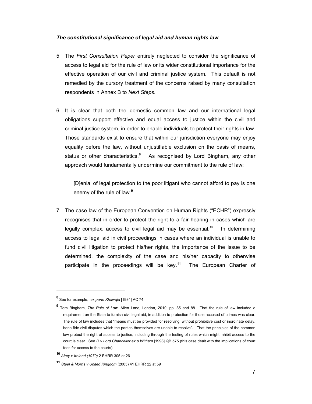#### *The constitutional significance of legal aid and human rights law*

- 5. The *First Consultation Paper* entirely neglected to consider the significance of access to legal aid for the rule of law or its wider constitutional importance for the effective operation of our civil and criminal justice system. This default is not remedied by the cursory treatment of the concerns raised by many consultation respondents in Annex B to *Next Steps.*
- 6. It is clear that both the domestic common law and our international legal obligations support effective and equal access to justice within the civil and criminal justice system, in order to enable individuals to protect their rights in law. Those standards exist to ensure that within our jurisdiction everyone may enjoy equality before the law, without unjustifiable exclusion on the basis of means, status or other characteristics.**<sup>8</sup>** As recognised by Lord Bingham, any other approach would fundamentally undermine our commitment to the rule of law:

[D]enial of legal protection to the poor litigant who cannot afford to pay is one enemy of the rule of law.**<sup>9</sup>**

7. The case law of the European Convention on Human Rights ("ECHR") expressly recognises that in order to protect the right to a fair hearing in cases which are legally complex, access to civil legal aid may be essential.**<sup>10</sup>** In determining access to legal aid in civil proceedings in cases where an individual is unable to fund civil litigation to protect his/her rights, the importance of the issue to be determined, the complexity of the case and his/her capacity to otherwise participate in the proceedings will be key.**<sup>11</sup>** The European Charter of

**<sup>8</sup>** See for example, *ex parte Khawaja* [1984] AC 74

**<sup>9</sup>** Tom Bingham, *The Rule of Law*, Allen Lane, London, 2010, pp. 85 and 88. That the rule of law included a requirement on the State to furnish civil legal aid, in addition to protection for those accused of crimes was clear. The rule of law includes that "means must be provided for resolving, without prohibitive cost or inordinate delay, bona fide civil disputes which the parties themselves are unable to resolve". That the principles of the common law protect the right of access to justice, including through the testing of rules which might inhibit access to the court is clear. See *R v Lord Chancellor ex p Witham* [1998] QB 575 (this case dealt with the implications of court fees for access to the courts).

**<sup>10</sup>** *Airey v Ireland (1979)* 2 EHRR 305 at 26

**<sup>11</sup>** *Steel & Morris v United Kingdom* (2005) 41 EHRR 22 at 59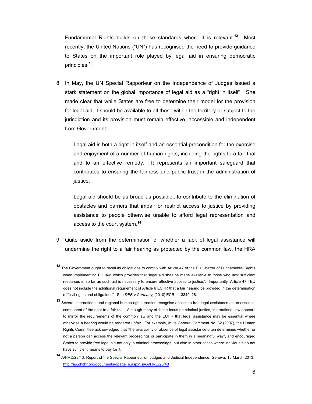Fundamental Rights builds on these standards where it is relevant.**<sup>12</sup>** Most recently, the United Nations ("UN") has recognised the need to provide guidance to States on the important role played by legal aid in ensuring democratic principles.**<sup>13</sup>**

8. In May, the UN Special Rapporteur on the Independence of Judges issued a stark statement on the global importance of legal aid as a "right in itself". She made clear that while States are free to determine their model for the provision for legal aid, it should be available to all those within the territory or subject to the jurisdiction and its provision must remain effective, accessible and independent from Government:

Legal aid is both a right in itself and an essential precondition for the exercise and enjoyment of a number of human rights, including the rights to a fair trial and to an effective remedy. It represents an important safeguard that contributes to ensuring the fairness and public trust in the administration of justice.

Legal aid should be as broad as possible...to contribute to the elimination of obstacles and barriers that impair or restrict access to justice by providing assistance to people otherwise unable to afford legal representation and access to the court system.**<sup>14</sup>**

9. Quite aside from the determination of whether a lack of legal assistance will undermine the right to a fair hearing as protected by the common law, the HRA

**<sup>12</sup>** The Government ought to recall its obligations to comply with Article 47 of the EU Charter of Fundamental Rights when implementing EU law, which provides that 'legal aid shall be made available to those who lack sufficient resources in so far as such aid is necessary to ensure effective access to justice.'. Importantly, Article 47 TEU does not include the additional requirement of Article 6 ECHR that a fair hearing be provided in the determination of "civil rights and obligations". See *DEB v Germany,* [2010] ECR I- 13849, 28.

**<sup>13</sup>** Several international and regional human rights treaties recognise access to free legal assistance as an essential component of the right to a fair trial. Although many of these focus on criminal justice, international law appears to mirror the requirements of the common law and the ECHR that legal assistance may be essential where otherwise a hearing would be rendered unfair. For example, In its General Comment No. 32 (2007), the Human Rights Committee acknowledged that "the availability or absence of legal assistance often determines whether or not a person can access the relevant proceedings or participate in them in a meaningful way", and encouraged States to provide free legal aid not only in criminal proceedings, but also in other cases where individuals do not have sufficient means to pay for it.

**<sup>14</sup>** A/HRC/23/43, Report of the Special Rapporteur on Judges and Judicial Independence, Geneva, 15 March 2013,. http://ap.ohchr.org/documents/dpage\_e.aspx?si=A/HRC/23/43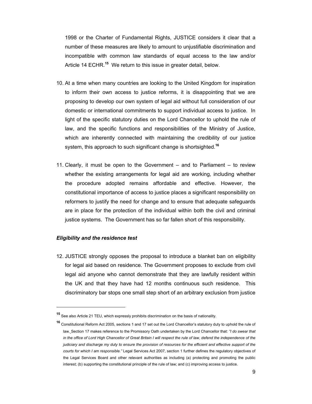1998 or the Charter of Fundamental Rights, JUSTICE considers it clear that a number of these measures are likely to amount to unjustifiable discrimination and incompatible with common law standards of equal access to the law and/or Article 14 ECHR.**<sup>15</sup>** We return to this issue in greater detail, below.

- 10. At a time when many countries are looking to the United Kingdom for inspiration to inform their own access to justice reforms, it is disappointing that we are proposing to develop our own system of legal aid without full consideration of our domestic or international commitments to support individual access to justice. In light of the specific statutory duties on the Lord Chancellor to uphold the rule of law, and the specific functions and responsibilities of the Ministry of Justice, which are inherently connected with maintaining the credibility of our justice system, this approach to such significant change is shortsighted.**<sup>16</sup>**
- 11. Clearly, it must be open to the Government and to Parliament to review whether the existing arrangements for legal aid are working, including whether the procedure adopted remains affordable and effective. However, the constitutional importance of access to justice places a significant responsibility on reformers to justify the need for change and to ensure that adequate safeguards are in place for the protection of the individual within both the civil and criminal justice systems. The Government has so far fallen short of this responsibility.

#### *Eligibility and the residence test*

 $\overline{a}$ 

12. JUSTICE strongly opposes the proposal to introduce a blanket ban on eligibility for legal aid based on residence. The Government proposes to exclude from civil legal aid anyone who cannot demonstrate that they are lawfully resident within the UK and that they have had 12 months continuous such residence. This discriminatory bar stops one small step short of an arbitrary exclusion from justice

**<sup>15</sup>** See also Article 21 TEU, which expressly prohibits discrimination on the basis of nationality.

**<sup>16</sup>** Constitutional Reform Act 2005, sections 1 and 17 set out the Lord Chancellor's statutory duty to uphold the rule of law. Section 17 makes reference to the Promissory Oath undertaken by the Lord Chancellor that: *"I do swear that in the office of Lord High Chancellor of Great Britain I will respect the rule of law, defend the independence of the judiciary and discharge my duty to ensure the provision of resources for the efficient and effective support of the courts for which I am responsible."* Legal Services Act 2007, section 1 further defines the regulatory objectives of the Legal Services Board and other relevant authorities as including (a) protecting and promoting the public interest; (b) supporting the constitutional principle of the rule of law; and (c) improving access to justice.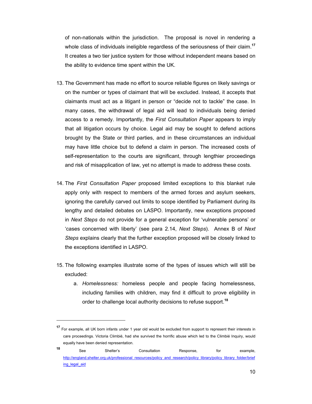of non-nationals within the jurisdiction. The proposal is novel in rendering a whole class of individuals ineligible regardless of the seriousness of their claim.**<sup>17</sup>** It creates a two tier justice system for those without independent means based on the ability to evidence time spent within the UK.

- 13. The Government has made no effort to source reliable figures on likely savings or on the number or types of claimant that will be excluded. Instead, it accepts that claimants must act as a litigant in person or "decide not to tackle" the case. In many cases, the withdrawal of legal aid will lead to individuals being denied access to a remedy. Importantly, the *First Consultation Paper* appears to imply that all litigation occurs by choice. Legal aid may be sought to defend actions brought by the State or third parties, and in these circumstances an individual may have little choice but to defend a claim in person. The increased costs of self-representation to the courts are significant, through lengthier proceedings and risk of misapplication of law, yet no attempt is made to address these costs.
- 14. The *First Consultation Paper* proposed limited exceptions to this blanket rule apply only with respect to members of the armed forces and asylum seekers, ignoring the carefully carved out limits to scope identified by Parliament during its lengthy and detailed debates on LASPO. Importantly, new exceptions proposed in *Next Steps* do not provide for a general exception for 'vulnerable persons' or 'cases concerned with liberty' (see para 2.14, *Next Steps*). Annex B of *Next Steps* explains clearly that the further exception proposed will be closely linked to the exceptions identified in LASPO.
- 15. The following examples illustrate some of the types of issues which will still be excluded:
	- a. *Homelessness:* homeless people and people facing homelessness, including families with children, may find it difficult to prove eligibility in order to challenge local authority decisions to refuse support.**<sup>18</sup>**

**<sup>17</sup>** For example, all UK born infants under 1 year old would be excluded from support to represent their interests in care proceedings. Victoria Climbié, had she survived the horrific abuse which led to the Climbié Inquiry, would equally have been denied representation.

<sup>18</sup> See Shelter's Consultation Response, for example, http://england.shelter.org.uk/professional\_resources/policy\_and\_research/policy\_library/policy\_library\_folder/brief ing\_legal\_aid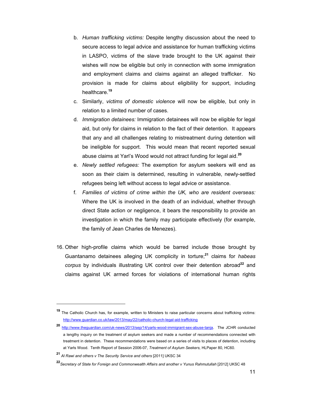- b. *Human trafficking victims:* Despite lengthy discussion about the need to secure access to legal advice and assistance for human trafficking victims in LASPO, victims of the slave trade brought to the UK against their wishes will now be eligible but only in connection with some immigration and employment claims and claims against an alleged trafficker. No provision is made for claims about eligibility for support, including healthcare.**<sup>19</sup>**
- c. Similarly, *victims of domestic violence* will now be eligible, but only in relation to a limited number of cases.
- d. *Immigration detainees:* Immigration detainees will now be eligible for legal aid, but only for claims in relation to the fact of their detention. It appears that any and all challenges relating to mistreatment during detention will be ineligible for support. This would mean that recent reported sexual abuse claims at Yarl's Wood would not attract funding for legal aid.**<sup>20</sup>**
- e. *Newly settled refugees:* The exemption for asylum seekers will end as soon as their claim is determined, resulting in vulnerable, newly-settled refugees being left without access to legal advice or assistance.
- f. *Families of victims of crime within the UK, who are resident overseas:* Where the UK is involved in the death of an individual, whether through direct State action or negligence, it bears the responsibility to provide an investigation in which the family may participate effectively (for example, the family of Jean Charles de Menezes).
- 16. Other high-profile claims which would be barred include those brought by Guantanamo detainees alleging UK complicity in torture;**<sup>21</sup>** claims for *habeas corpus* by individuals illustrating UK control over their detention abroad**<sup>22</sup>** and claims against UK armed forces for violations of international human rights

**<sup>19</sup>** The Catholic Church has, for example, written to Ministers to raise particular concerns about trafficking victims: http://www.guardian.co.uk/law/2013/may/22/catholic-church-legal-aid-trafficking

**<sup>20</sup>** http://www.theguardian.com/uk-news/2013/sep/14/yarls-wood-immigrant-sex-abuse-tanja. The JCHR conducted a lengthy inquiry on the treatment of asylum seekers and made a number of recommendations connected with treatment in detention. These recommendations were based on a series of visits to places of detention, including at Yarls Wood. Tenth Report of Session 2006-07, *Treatment of Asylum Seekers,* HLPaper 80, HC60.

**<sup>21</sup>** *Al Rawi and others v The Security Service and others* [2011] UKSC 34

**<sup>22</sup>***Secretary of State for Foreign and Commonwealth Affairs and another v Yunus Rahmutullah* [2012] UKSC 48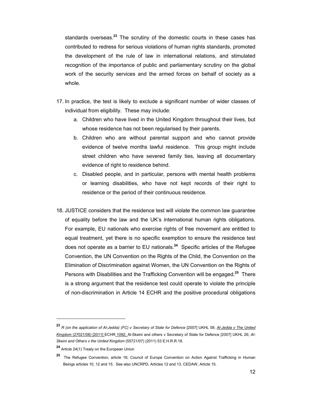standards overseas.**<sup>23</sup>** The scrutiny of the domestic courts in these cases has contributed to redress for serious violations of human rights standards, promoted the development of the rule of law in international relations, and stimulated recognition of the importance of public and parliamentary scrutiny on the global work of the security services and the armed forces on behalf of society as a whole.

- 17. In practice, the test is likely to exclude a significant number of wider classes of individual from eligibility. These may include:
	- a. Children who have lived in the United Kingdom throughout their lives, but whose residence has not been regularised by their parents.
	- b. Children who are without parental support and who cannot provide evidence of twelve months lawful residence. This group might include street children who have severed family ties, leaving all documentary evidence of right to residence behind.
	- c. Disabled people, and in particular, persons with mental health problems or learning disabilities, who have not kept records of their right to residence or the period of their continuous residence.
- 18. JUSTICE considers that the residence test will violate the common law guarantee of equality before the law and the UK's international human rights obligations. For example, EU nationals who exercise rights of free movement are entitled to equal treatment, yet there is no specific exemption to ensure the residence test does not operate as a barrier to EU nationals.**<sup>24</sup>** Specific articles of the Refugee Convention, the UN Convention on the Rights of the Child, the Convention on the Elimination of Discrimination against Women, the UN Convention on the Rights of Persons with Disabilities and the Trafficking Convention will be engaged.**<sup>25</sup>** There is a strong argument that the residence test could operate to violate the principle of non-discrimination in Article 14 ECHR and the positive procedural obligations

**<sup>23</sup>** *R (on the application of Al-Jedda) (FC) v Secretary of State for Defence* [2007] UKHL 58; *Al-Jedda v The United Kingdom* (27021/08) [2011] ECHR 1092; Al-Skeini and others v Secretary of State for Defence [2007] UKHL 26; *Al-Skeini and Others v the United Kingdom* (55721/07) (2011) 53 E.H.R.R.18.

**<sup>24</sup>** Article 24(1) Treaty on the European Union

**<sup>25</sup>** The Refugee Convention, article 16; Council of Europe Convention on Action Against Trafficking in Human Beings articles 10, 12 and 15. See also UNCRPD, Articles 12 and 13, CEDAW, Article 15.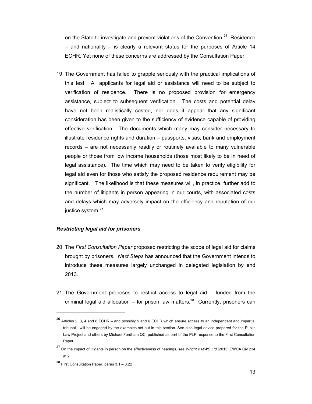on the State to investigate and prevent violations of the Convention.**<sup>26</sup>** Residence – and nationality – is clearly a relevant status for the purposes of Article 14 ECHR. Yet none of these concerns are addressed by the Consultation Paper.

19. The Government has failed to grapple seriously with the practical implications of this test. All applicants for legal aid or assistance will need to be subject to verification of residence. There is no proposed provision for emergency assistance, subject to subsequent verification. The costs and potential delay have not been realistically costed, nor does it appear that any significant consideration has been given to the sufficiency of evidence capable of providing effective verification. The documents which many may consider necessary to illustrate residence rights and duration – passports, visas, bank and employment records – are not necessarily readily or routinely available to many vulnerable people or those from low income households (those most likely to be in need of legal assistance). The time which may need to be taken to verify eligibility for legal aid even for those who satisfy the proposed residence requirement may be significant. The likelihood is that these measures will, in practice, further add to the number of litigants in person appearing in our courts, with associated costs and delays which may adversely impact on the efficiency and reputation of our justice system.**<sup>27</sup>**

#### *Restricting legal aid for prisoners*

- 20. The *First Consultation Paper* proposed restricting the scope of legal aid for claims brought by prisoners. *Next Steps* has announced that the Government intends to introduce these measures largely unchanged in delegated legislation by end 2013.
- 21. The Government proposes to restrict access to legal aid funded from the criminal legal aid allocation – for prison law matters.**<sup>28</sup>** Currently, prisoners can

**<sup>26</sup>** Articles 2, 3, 4 and 8 ECHR – and possibly 5 and 6 ECHR which ensure access to an independent and impartial tribunal - will be engaged by the examples set out in this section. See also legal advice prepared for the Public Law Project and others by Michael Fordham QC, published as part of the PLP response to the First Consultation Paper.

**<sup>27</sup>** On the impact of litigants in person on the effectiveness of hearings, see *Wright v MWS Ltd* [2013] EWCA Civ 234 at 2.

**<sup>28</sup>** First Consultation Paper, paras 3.1 – 3.22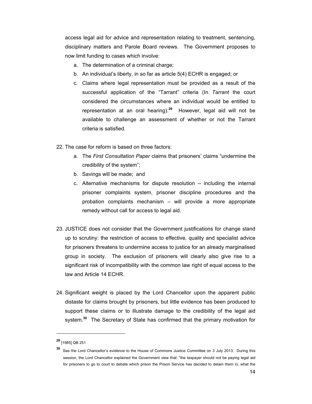access legal aid for advice and representation relating to treatment, sentencing, disciplinary matters and Parole Board reviews. The Government proposes to now limit funding to cases which involve:

- a. The determination of a criminal charge;
- b. An individual's liberty, in so far as article 5(4) ECHR is engaged; or
- c. Claims where legal representation must be provided as a result of the successful application of the "Tarrant" criteria (In *Tarrant* the court considered the circumstances where an individual would be entitled to representation at an oral hearing).**<sup>29</sup>** However, legal aid will not be available to challenge an assessment of whether or not the Tarrant criteria is satisfied.
- 22. The case for reform is based on three factors:
	- a. The *First Consultation Paper* claims that prisoners' claims "undermine the credibility of the system";
	- b. Savings will be made; and
	- c. Alternative mechanisms for dispute resolution  $-$  including the internal prisoner complaints system, prisoner discipline procedures and the probation complaints mechanism – will provide a more appropriate remedy without call for access to legal aid.
- 23. JUSTICE does not consider that the Government justifications for change stand up to scrutiny: the restriction of access to effective, quality and specialist advice for prisoners threatens to undermine access to justice for an already marginalised group in society.The exclusion of prisoners will clearly also give rise to a significant risk of incompatibility with the common law right of equal access to the law and Article 14 ECHR.
- 24. Significant weight is placed by the Lord Chancellor upon the apparent public distaste for claims brought by prisoners, but little evidence has been produced to support these claims or to illustrate damage to the credibility of the legal aid system.**<sup>30</sup>** The Secretary of State has confirmed that the primary motivation for

**<sup>29</sup>** [1985] QB 251

See the Lord Chancellor's evidence to the House of Commons Justice Committee on 3 July 2013. During this session, the Lord Chancellor explained the Government view that: "the taxpayer should not be paying legal aid for prisoners to go to court to debate which prison the Prison Service has decided to detain them in, what the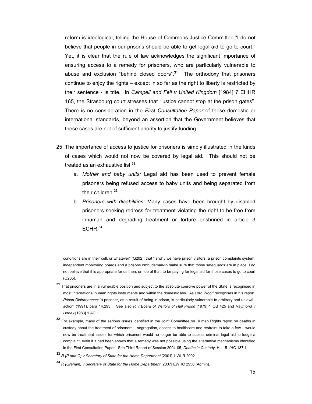reform is ideological, telling the House of Commons Justice Committee "I do not believe that people in our prisons should be able to get legal aid to go to court." Yet, it is clear that the rule of law acknowledges the significant importance of ensuring access to a remedy for prisoners, who are particularly vulnerable to abuse and exclusion "behind closed doors".**<sup>31</sup>** The orthodoxy that prisoners continue to enjoy the rights – except in so far as the right to liberty is restricted by their sentence - is trite. In *Campell and Fell v United Kingdom* [1984] 7 EHHR 165, the Strasbourg court stresses that "justice cannot stop at the prison gates". There is no consideration in the *First Consultation Paper* of these domestic or international standards, beyond an assertion that the Government believes that these cases are not of sufficient priority to justify funding.

- 25. The importance of access to justice for prisoners is simply illustrated in the kinds of cases which would not now be covered by legal aid. This should not be treated as an exhaustive list:**<sup>32</sup>**
	- a. *Mother and baby units:* Legal aid has been used to prevent female prisoners being refused access to baby units and being separated from their children.**<sup>33</sup>**
	- b. *Prisoners with disabilities:* Many cases have been brought by disabled prisoners seeking redress for treatment violating the right to be free from inhuman and degrading treatment or torture enshrined in article 3 ECHR.**<sup>34</sup>**

conditions are in their cell, or whatever" (Q202), that "is why we have prison visitors, a prison complaints system, independent monitoring boards and a prisons ombudsman-to make sure that those safeguards are in place. I do not believe that it is appropriate for us then, on top of that, to be paying for legal aid for those cases to go to court (Q205).

- **<sup>31</sup>** That prisoners are in a vulnerable position and subject to the absolute coercive power of the State is recognised in most international human rights instruments and within the domestic law. As Lord Woolf recognises in his report, *Prison Disturbances:* 'a prisoner, as a result of being in prison, is particularly vulnerable to arbitrary and unlawful action' (1991), para 14.293. See also *R v Board of Visitors of Hull Prison* [1979] 1 QB 425 and *Raymond v Honey* [1983] 1 AC 1.
- **<sup>32</sup>** For example, many of the serious issues identified in the Joint Committee on Human Rights report on deaths in custody about the treatment of prisoners – segregation, access to healthcare and restraint to take a few – would now be treatment issues for which prisoners would no longer be able to access criminal legal aid to lodge a complaint, even if it had been shown that a remedy was not possible using the alternative mechanisms identified in the First Consultation Paper. See Third Report of Session 2004-05, *Deaths in Custody,* HL 15-I/HC 137-I
- **<sup>33</sup>** *R (P and Q) v Secretary of State for the Home Department* [2001] 1 WLR 2002.

**<sup>34</sup>** *R (Graham) v Secretary of State for the Home Department* [2007] EWHC 2950 (Admin).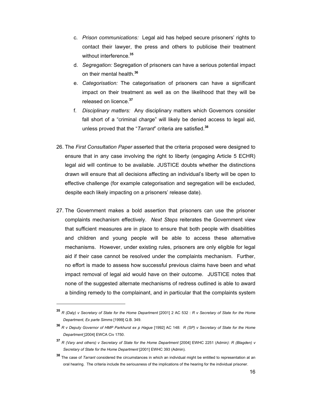- c. *Prison communications:* Legal aid has helped secure prisoners' rights to contact their lawyer, the press and others to publicise their treatment without interference.**<sup>35</sup>**
- d. *Segregation:* Segregation of prisoners can have a serious potential impact on their mental health.**<sup>36</sup>**
- e. *Categorisation:* The categorisation of prisoners can have a significant impact on their treatment as well as on the likelihood that they will be released on licence.**<sup>37</sup>**
- f. *Disciplinary matters:* Any disciplinary matters which Governors consider fall short of a "criminal charge" will likely be denied access to legal aid, unless proved that the "*Tarrant*" criteria are satisfied.**<sup>38</sup>**
- 26. The *First Consultation Paper* asserted that the criteria proposed were designed to ensure that in any case involving the right to liberty (engaging Article 5 ECHR) legal aid will continue to be available. JUSTICE doubts whether the distinctions drawn will ensure that all decisions affecting an individual's liberty will be open to effective challenge (for example categorisation and segregation will be excluded, despite each likely impacting on a prisoners' release date).
- 27. The Government makes a bold assertion that prisoners can use the prisoner complaints mechanism effectively. *Next Steps* reiterates the Government view that sufficient measures are in place to ensure that both people with disabilities and children and young people will be able to access these alternative mechanisms. However, under existing rules, prisoners are only eligible for legal aid if their case cannot be resolved under the complaints mechanism. Further, no effort is made to assess how successful previous claims have been and what impact removal of legal aid would have on their outcome. JUSTICE notes that none of the suggested alternate mechanisms of redress outlined is able to award a binding remedy to the complainant, and in particular that the complaints system

**<sup>35</sup>** *R (Daly) v Secretary of State for the Home Department* [2001] 2 AC 532 : *R v Secretary of State for the Home Department, Ex parte Simms* [1999] Q.B. 349.

**<sup>36</sup>** *R v Deputy Governor of HMP Parkhurst ex p Hague* [1992] AC 148: *R (SP) v Secretary of State for the Home Department* [2004] EWCA Civ 1750.

**<sup>37</sup>** *R (Vary and others) v Secretary of State for the Home Department* [2004] EWHC 2251 (Admin*)*: *R (Blagden) v Secretary of State for the Home Department* [2001] EWHC 393 (Admin).

**<sup>38</sup>** The case of *Tarrant* considered the circumstances in which an individual might be entitled to representation at an oral hearing. The criteria include the seriousness of the implications of the hearing for the individual prisoner.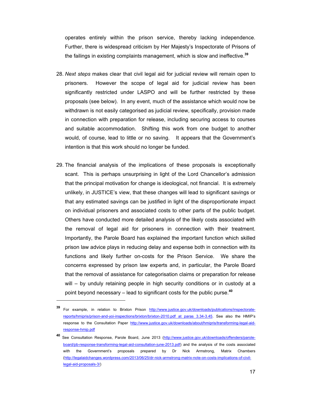operates entirely within the prison service, thereby lacking independence. Further, there is widespread criticism by Her Majesty's Inspectorate of Prisons of the failings in existing complaints management, which is slow and ineffective.**<sup>39</sup>**

- 28. *Next steps* makes clear that civil legal aid for judicial review will remain open to prisoners. However the scope of legal aid for judicial review has been significantly restricted under LASPO and will be further restricted by these proposals (see below). In any event, much of the assistance which would now be withdrawn is not easily categorised as judicial review, specifically, provision made in connection with preparation for release, including securing access to courses and suitable accommodation. Shifting this work from one budget to another would, of course, lead to little or no saving. It appears that the Government's intention is that this work should no longer be funded.
- 29. The financial analysis of the implications of these proposals is exceptionally scant. This is perhaps unsurprising in light of the Lord Chancellor's admission that the principal motivation for change is ideological, not financial. It is extremely unlikely, in JUSTICE's view, that these changes will lead to significant savings or that any estimated savings can be justified in light of the disproportionate impact on individual prisoners and associated costs to other parts of the public budget. Others have conducted more detailed analysis of the likely costs associated with the removal of legal aid for prisoners in connection with their treatment. Importantly, the Parole Board has explained the important function which skilled prison law advice plays in reducing delay and expense both in connection with its functions and likely further on-costs for the Prison Service. We share the concerns expressed by prison law experts and, in particular, the Parole Board that the removal of assistance for categorisation claims or preparation for release will – by unduly retaining people in high security conditions or in custody at a point beyond necessary – lead to significant costs for the public purse.**<sup>40</sup>**

**<sup>39</sup>** For example, in relation to Brixton Prison http://www.justice.gov.uk/downloads/publications/inspectoratereports/hmipris/prison-and-yoi-inspections/brixton/brixton-2010.pdf at paras 3.34-3.45. See also the HMIP's response to the Consultation Paper http://www.justice.gov.uk/downloads/about/hmipris/transforming-legal-aidresponse-hmip.pdf

**<sup>40</sup>** See Consultation Response, Parole Board, June 2013 (http://www.justice.gov.uk/downloads/offenders/paroleboard/pb-response-transforming-legal-aid-consultation-june-2013.pdf) and the analysis of the costs associated with the Government's proposals prepared by Dr Nick Armstrong, Matrix Chambers (http://legalaidchanges.wordpress.com/2013/06/25/dr-nick-armstrong-matrix-note-on-costs-implications-of-civillegal-aid-proposals-3/)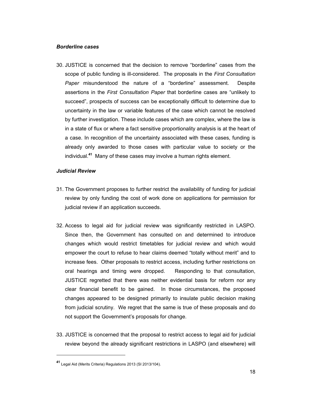#### *Borderline cases*

30. JUSTICE is concerned that the decision to remove "borderline" cases from the scope of public funding is ill-considered. The proposals in the *First Consultation Paper* misunderstood the nature of a "borderline" assessment. Despite assertions in the *First Consultation Paper* that borderline cases are "unlikely to succeed", prospects of success can be exceptionally difficult to determine due to uncertainty in the law or variable features of the case which cannot be resolved by further investigation. These include cases which are complex, where the law is in a state of flux or where a fact sensitive proportionality analysis is at the heart of a case. In recognition of the uncertainty associated with these cases, funding is already only awarded to those cases with particular value to society or the individual.**<sup>41</sup>** Many of these cases may involve a human rights element.

#### *Judicial Review*

- 31. The Government proposes to further restrict the availability of funding for judicial review by only funding the cost of work done on applications for permission for judicial review if an application succeeds.
- 32. Access to legal aid for judicial review was significantly restricted in LASPO. Since then, the Government has consulted on and determined to introduce changes which would restrict timetables for judicial review and which would empower the court to refuse to hear claims deemed "totally without merit" and to increase fees. Other proposals to restrict access, including further restrictions on oral hearings and timing were dropped. Responding to that consultation, JUSTICE regretted that there was neither evidential basis for reform nor any clear financial benefit to be gained. In those circumstances, the proposed changes appeared to be designed primarily to insulate public decision making from judicial scrutiny. We regret that the same is true of these proposals and do not support the Government's proposals for change.
- 33. JUSTICE is concerned that the proposal to restrict access to legal aid for judicial review beyond the already significant restrictions in LASPO (and elsewhere) will

**<sup>41</sup>** Legal Aid (Merits Criteria) Regulations 2013 (SI 2013/104).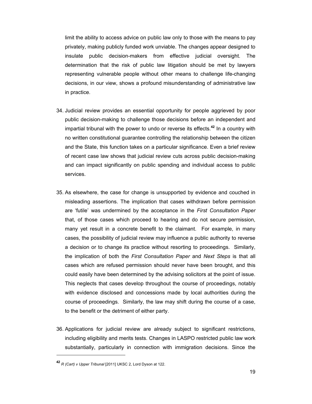limit the ability to access advice on public law only to those with the means to pay privately, making publicly funded work unviable. The changes appear designed to insulate public decision-makers from effective judicial oversight. The determination that the risk of public law litigation should be met by lawyers representing vulnerable people without other means to challenge life-changing decisions, in our view, shows a profound misunderstanding of administrative law in practice.

- 34. Judicial review provides an essential opportunity for people aggrieved by poor public decision-making to challenge those decisions before an independent and impartial tribunal with the power to undo or reverse its effects.**<sup>42</sup>** In a country with no written constitutional guarantee controlling the relationship between the citizen and the State, this function takes on a particular significance. Even a brief review of recent case law shows that judicial review cuts across public decision-making and can impact significantly on public spending and individual access to public services.
- 35. As elsewhere, the case for change is unsupported by evidence and couched in misleading assertions. The implication that cases withdrawn before permission are 'futile' was undermined by the acceptance in the *First Consultation Paper* that, of those cases which proceed to hearing and do not secure permission, many yet result in a concrete benefit to the claimant. For example, in many cases, the possibility of judicial review may influence a public authority to reverse a decision or to change its practice without resorting to proceedings. Similarly, the implication of both the *First Consultation Paper* and *Next Steps* is that all cases which are refused permission should never have been brought, and this could easily have been determined by the advising solicitors at the point of issue. This neglects that cases develop throughout the course of proceedings, notably with evidence disclosed and concessions made by local authorities during the course of proceedings. Similarly, the law may shift during the course of a case, to the benefit or the detriment of either party.
- 36. Applications for judicial review are already subject to significant restrictions, including eligibility and merits tests. Changes in LASPO restricted public law work substantially, particularly in connection with immigration decisions. Since the

**<sup>42</sup>** *R (Cart) v Upper Tribunal* [2011] UKSC 2, Lord Dyson at 122.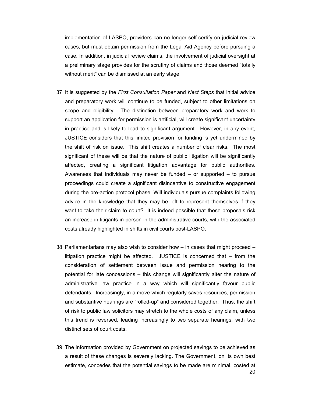implementation of LASPO, providers can no longer self-certify on judicial review cases, but must obtain permission from the Legal Aid Agency before pursuing a case. In addition, in judicial review claims, the involvement of judicial oversight at a preliminary stage provides for the scrutiny of claims and those deemed "totally without merit" can be dismissed at an early stage.

- 37. It is suggested by the *First Consultation Paper* and *Next Steps* that initial advice and preparatory work will continue to be funded, subject to other limitations on scope and eligibility. The distinction between preparatory work and work to support an application for permission is artificial, will create significant uncertainty in practice and is likely to lead to significant argument. However, in any event, JUSTICE considers that this limited provision for funding is yet undermined by the shift of risk on issue. This shift creates a number of clear risks. The most significant of these will be that the nature of public litigation will be significantly affected, creating a significant litigation advantage for public authorities. Awareness that individuals may never be funded  $-$  or supported  $-$  to pursue proceedings could create a significant disincentive to constructive engagement during the pre-action protocol phase. Will individuals pursue complaints following advice in the knowledge that they may be left to represent themselves if they want to take their claim to court? It is indeed possible that these proposals risk an increase in litigants in person in the administrative courts, with the associated costs already highlighted in shifts in civil courts post-LASPO.
- 38. Parliamentarians may also wish to consider how in cases that might proceed litigation practice might be affected. JUSTICE is concerned that – from the consideration of settlement between issue and permission hearing to the potential for late concessions – this change will significantly alter the nature of administrative law practice in a way which will significantly favour public defendants. Increasingly, in a move which regularly saves resources, permission and substantive hearings are "rolled-up" and considered together. Thus, the shift of risk to public law solicitors may stretch to the whole costs of any claim, unless this trend is reversed, leading increasingly to two separate hearings, with two distinct sets of court costs.
- 39. The information provided by Government on projected savings to be achieved as a result of these changes is severely lacking. The Government, on its own best estimate, concedes that the potential savings to be made are minimal, costed at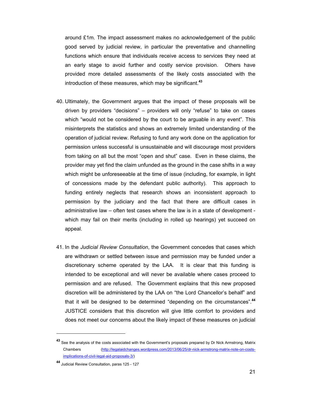around £1m. The impact assessment makes no acknowledgement of the public good served by judicial review, in particular the preventative and channelling functions which ensure that individuals receive access to services they need at an early stage to avoid further and costly service provision. Others have provided more detailed assessments of the likely costs associated with the introduction of these measures, which may be significant.**<sup>43</sup>**

- 40. Ultimately, the Government argues that the impact of these proposals will be driven by providers "decisions" – providers will only "refuse" to take on cases which "would not be considered by the court to be arguable in any event". This misinterprets the statistics and shows an extremely limited understanding of the operation of judicial review. Refusing to fund any work done on the application for permission unless successful is unsustainable and will discourage most providers from taking on all but the most "open and shut" case. Even in these claims, the provider may yet find the claim unfunded as the ground in the case shifts in a way which might be unforeseeable at the time of issue (including, for example, in light of concessions made by the defendant public authority). This approach to funding entirely neglects that research shows an inconsistent approach to permission by the judiciary and the fact that there are difficult cases in administrative law – often test cases where the law is in a state of development which may fail on their merits (including in rolled up hearings) yet succeed on appeal.
- 41. In the *Judicial Review Consultation*, the Government concedes that cases which are withdrawn or settled between issue and permission may be funded under a discretionary scheme operated by the LAA. It is clear that this funding is intended to be exceptional and will never be available where cases proceed to permission and are refused. The Government explains that this new proposed discretion will be administered by the LAA on "the Lord Chancellor's behalf" and that it will be designed to be determined "depending on the circumstances".**<sup>44</sup>** JUSTICE considers that this discretion will give little comfort to providers and does not meet our concerns about the likely impact of these measures on judicial

**<sup>43</sup>** See the analysis of the costs associated with the Government's proposals prepared by Dr Nick Armstrong, Matrix Chambers (http://legalaidchanges.wordpress.com/2013/06/25/dr-nick-armstrong-matrix-note-on-costsimplications-of-civil-legal-aid-proposals-3/)

**<sup>44</sup>** Judicial Review Consultation, paras 125 - 127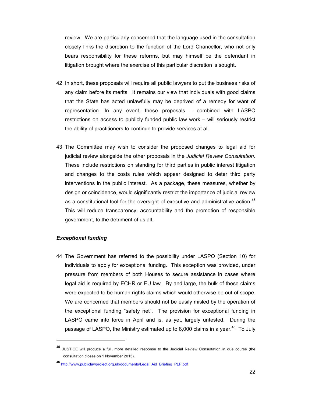review. We are particularly concerned that the language used in the consultation closely links the discretion to the function of the Lord Chancellor, who not only bears responsibility for these reforms, but may himself be the defendant in litigation brought where the exercise of this particular discretion is sought.

- 42. In short, these proposals will require all public lawyers to put the business risks of any claim before its merits. It remains our view that individuals with good claims that the State has acted unlawfully may be deprived of a remedy for want of representation. In any event, these proposals – combined with LASPO restrictions on access to publicly funded public law work – will seriously restrict the ability of practitioners to continue to provide services at all.
- 43. The Committee may wish to consider the proposed changes to legal aid for judicial review alongside the other proposals in the *Judicial Review Consultation*. These include restrictions on standing for third parties in public interest litigation and changes to the costs rules which appear designed to deter third party interventions in the public interest. As a package, these measures, whether by design or coincidence, would significantly restrict the importance of judicial review as a constitutional tool for the oversight of executive and administrative action.**<sup>45</sup>** This will reduce transparency, accountability and the promotion of responsible government, to the detriment of us all.

#### *Exceptional funding*

 $\overline{a}$ 

44. The Government has referred to the possibility under LASPO (Section 10) for individuals to apply for exceptional funding. This exception was provided, under pressure from members of both Houses to secure assistance in cases where legal aid is required by ECHR or EU law. By and large, the bulk of these claims were expected to be human rights claims which would otherwise be out of scope. We are concerned that members should not be easily misled by the operation of the exceptional funding "safety net". The provision for exceptional funding in LASPO came into force in April and is, as yet, largely untested. During the passage of LASPO, the Ministry estimated up to 8,000 claims in a year.**<sup>46</sup>** To July

**<sup>45</sup>** JUSTICE will produce a full, more detailed response to the Judicial Review Consultation in due course (the consultation closes on 1 November 2013).

**<sup>46</sup>** http://www.publiclawproject.org.uk/documents/Legal\_Aid\_Briefing\_PLP.pdf